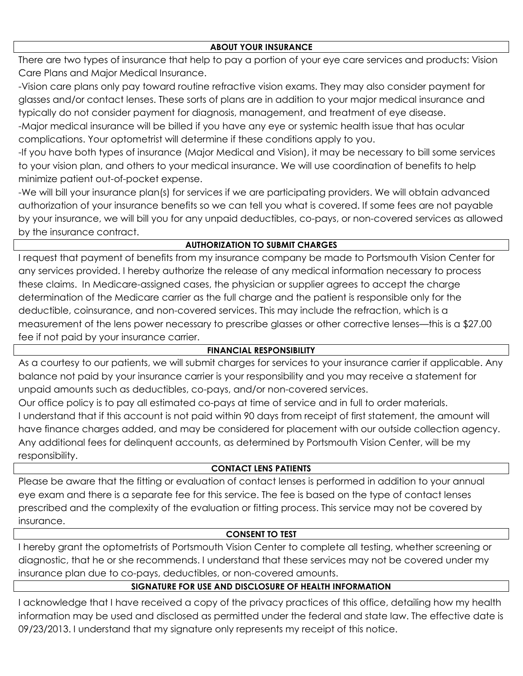## **ABOUT YOUR INSURANCE**

There are two types of insurance that help to pay a portion of your eye care services and products: Vision Care Plans and Major Medical Insurance.

-Vision care plans only pay toward routine refractive vision exams. They may also consider payment for glasses and/or contact lenses. These sorts of plans are in addition to your major medical insurance and typically do not consider payment for diagnosis, management, and treatment of eye disease.

-Major medical insurance will be billed if you have any eye or systemic health issue that has ocular complications. Your optometrist will determine if these conditions apply to you.

-If you have both types of insurance (Major Medical and Vision), it may be necessary to bill some services to your vision plan, and others to your medical insurance. We will use coordination of benefits to help minimize patient out-of-pocket expense.

-We will bill your insurance plan(s) for services if we are participating providers. We will obtain advanced authorization of your insurance benefits so we can tell you what is covered. If some fees are not payable by your insurance, we will bill you for any unpaid deductibles, co-pays, or non-covered services as allowed by the insurance contract.

# **AUTHORIZATION TO SUBMIT CHARGES**

I request that payment of benefits from my insurance company be made to Portsmouth Vision Center for any services provided. I hereby authorize the release of any medical information necessary to process these claims. In Medicare-assigned cases, the physician or supplier agrees to accept the charge determination of the Medicare carrier as the full charge and the patient is responsible only for the deductible, coinsurance, and non-covered services. This may include the refraction, which is a measurement of the lens power necessary to prescribe glasses or other corrective lenses—this is a \$27.00 fee if not paid by your insurance carrier.

# **FINANCIAL RESPONSIBILITY**

As a courtesy to our patients, we will submit charges for services to your insurance carrier if applicable. Any balance not paid by your insurance carrier is your responsibility and you may receive a statement for unpaid amounts such as deductibles, co-pays, and/or non-covered services.

Our office policy is to pay all estimated co-pays at time of service and in full to order materials. I understand that if this account is not paid within 90 days from receipt of first statement, the amount will have finance charges added, and may be considered for placement with our outside collection agency. Any additional fees for delinquent accounts, as determined by Portsmouth Vision Center, will be my responsibility.

# **CONTACT LENS PATIENTS**

Please be aware that the fitting or evaluation of contact lenses is performed in addition to your annual eye exam and there is a separate fee for this service. The fee is based on the type of contact lenses prescribed and the complexity of the evaluation or fitting process. This service may not be covered by insurance.

# **CONSENT TO TEST**

I hereby grant the optometrists of Portsmouth Vision Center to complete all testing, whether screening or diagnostic, that he or she recommends. I understand that these services may not be covered under my insurance plan due to co-pays, deductibles, or non-covered amounts.

# **SIGNATURE FOR USE AND DISCLOSURE OF HEALTH INFORMATION**

I acknowledge that I have received a copy of the privacy practices of this office, detailing how my health information may be used and disclosed as permitted under the federal and state law. The effective date is 09/23/2013. I understand that my signature only represents my receipt of this notice.